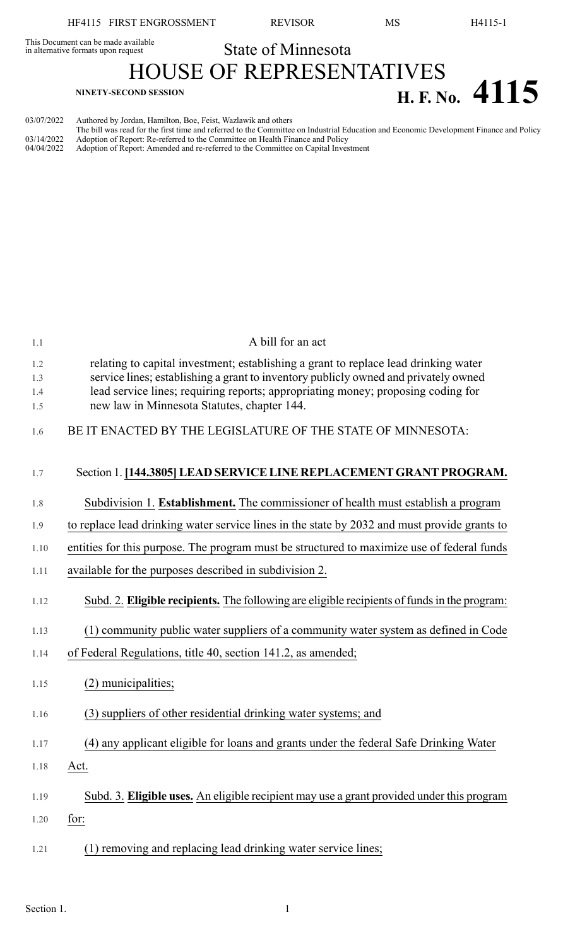HF4115 FIRST ENGROSSMENT REVISOR MS H4115-1

This Document can be made available<br>in alternative formats upon request

State of Minnesota

HOUSE OF REPRESENTATIVES  $H. F. No. 4115$ 

| 03/07/2022<br>Authored by Jordan, Hamilton, Boe, Feist, Wazlawik and others                                                            |  |
|----------------------------------------------------------------------------------------------------------------------------------------|--|
| The bill was read for the first time and referred to the Committee on Industrial Education and Economic Development Finance and Policy |  |
| 03/14/2022<br>Adoption of Report: Re-referred to the Committee on Health Finance and Policy                                            |  |
| 04/04/2022<br>Adoption of Report: Amended and re-referred to the Committee on Capital Investment                                       |  |

| 1.1        | A bill for an act                                                                                                                                                          |
|------------|----------------------------------------------------------------------------------------------------------------------------------------------------------------------------|
| 1.2<br>1.3 | relating to capital investment; establishing a grant to replace lead drinking water<br>service lines; establishing a grant to inventory publicly owned and privately owned |
| 1.4        | lead service lines; requiring reports; appropriating money; proposing coding for                                                                                           |
| 1.5        | new law in Minnesota Statutes, chapter 144.                                                                                                                                |
| 1.6        | BE IT ENACTED BY THE LEGISLATURE OF THE STATE OF MINNESOTA:                                                                                                                |
| 1.7        | Section 1. [144.3805] LEAD SERVICE LINE REPLACEMENT GRANT PROGRAM.                                                                                                         |
| 1.8        | Subdivision 1. Establishment. The commissioner of health must establish a program                                                                                          |
| 1.9        | to replace lead drinking water service lines in the state by 2032 and must provide grants to                                                                               |
| 1.10       | entities for this purpose. The program must be structured to maximize use of federal funds                                                                                 |
| 1.11       | available for the purposes described in subdivision 2.                                                                                                                     |
| 1.12       | Subd. 2. Eligible recipients. The following are eligible recipients of funds in the program:                                                                               |
| 1.13       | (1) community public water suppliers of a community water system as defined in Code                                                                                        |
| 1.14       | of Federal Regulations, title 40, section 141.2, as amended;                                                                                                               |
| 1.15       | (2) municipalities;                                                                                                                                                        |
| 1.16       | (3) suppliers of other residential drinking water systems; and                                                                                                             |
| 1.17       | (4) any applicant eligible for loans and grants under the federal Safe Drinking Water                                                                                      |
| 1.18       | Act.                                                                                                                                                                       |
| 1.19       | Subd. 3. Eligible uses. An eligible recipient may use a grant provided under this program                                                                                  |
| 1.20       | for:                                                                                                                                                                       |
| 1.21       | (1) removing and replacing lead drinking water service lines;                                                                                                              |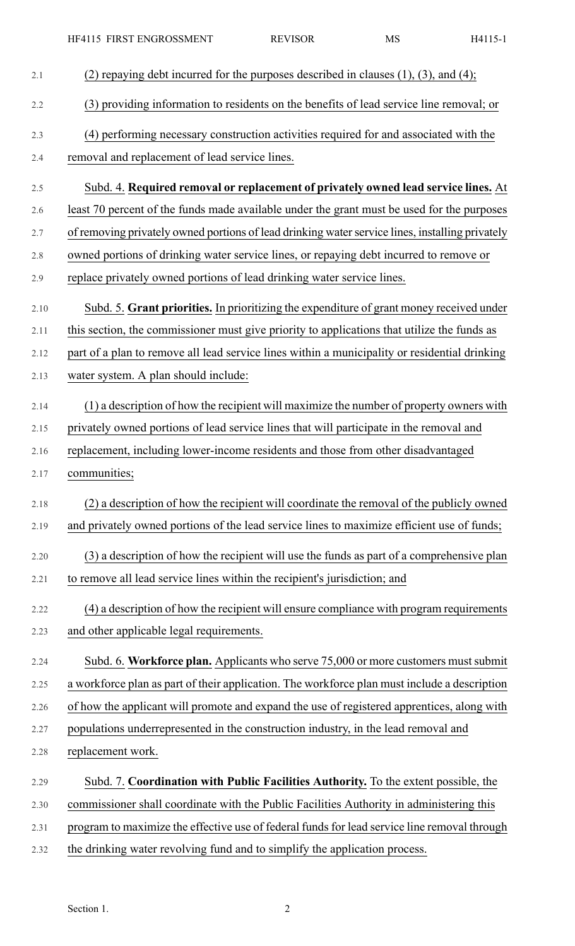|      | HF4115 FIRST ENGROSSMENT                                                                        | <b>REVISOR</b> | <b>MS</b> | H4115-1 |
|------|-------------------------------------------------------------------------------------------------|----------------|-----------|---------|
| 2.1  | (2) repaying debt incurred for the purposes described in clauses $(1)$ , $(3)$ , and $(4)$ ;    |                |           |         |
| 2.2  | (3) providing information to residents on the benefits of lead service line removal; or         |                |           |         |
| 2.3  | (4) performing necessary construction activities required for and associated with the           |                |           |         |
| 2.4  | removal and replacement of lead service lines.                                                  |                |           |         |
| 2.5  | Subd. 4. Required removal or replacement of privately owned lead service lines. At              |                |           |         |
| 2.6  | least 70 percent of the funds made available under the grant must be used for the purposes      |                |           |         |
| 2.7  | of removing privately owned portions of lead drinking water service lines, installing privately |                |           |         |
| 2.8  | owned portions of drinking water service lines, or repaying debt incurred to remove or          |                |           |         |
| 2.9  | replace privately owned portions of lead drinking water service lines.                          |                |           |         |
| 2.10 | Subd. 5. Grant priorities. In prioritizing the expenditure of grant money received under        |                |           |         |
| 2.11 | this section, the commissioner must give priority to applications that utilize the funds as     |                |           |         |
| 2.12 | part of a plan to remove all lead service lines within a municipality or residential drinking   |                |           |         |
| 2.13 | water system. A plan should include:                                                            |                |           |         |
| 2.14 | (1) a description of how the recipient will maximize the number of property owners with         |                |           |         |
| 2.15 | privately owned portions of lead service lines that will participate in the removal and         |                |           |         |
| 2.16 | replacement, including lower-income residents and those from other disadvantaged                |                |           |         |
| 2.17 | communities;                                                                                    |                |           |         |
| 2.18 | (2) a description of how the recipient will coordinate the removal of the publicly owned        |                |           |         |
| 2.19 | and privately owned portions of the lead service lines to maximize efficient use of funds;      |                |           |         |
| 2.20 | (3) a description of how the recipient will use the funds as part of a comprehensive plan       |                |           |         |
| 2.21 | to remove all lead service lines within the recipient's jurisdiction; and                       |                |           |         |
| 2.22 | (4) a description of how the recipient will ensure compliance with program requirements         |                |           |         |
| 2.23 | and other applicable legal requirements.                                                        |                |           |         |
| 2.24 | Subd. 6. Workforce plan. Applicants who serve 75,000 or more customers must submit              |                |           |         |
| 2.25 | a workforce plan as part of their application. The workforce plan must include a description    |                |           |         |
| 2.26 | of how the applicant will promote and expand the use of registered apprentices, along with      |                |           |         |
| 2.27 | populations underrepresented in the construction industry, in the lead removal and              |                |           |         |
| 2.28 | replacement work.                                                                               |                |           |         |
| 2.29 | Subd. 7. Coordination with Public Facilities Authority. To the extent possible, the             |                |           |         |
| 2.30 | commissioner shall coordinate with the Public Facilities Authority in administering this        |                |           |         |
| 2.31 | program to maximize the effective use of federal funds for lead service line removal through    |                |           |         |
| 2.32 | the drinking water revolving fund and to simplify the application process.                      |                |           |         |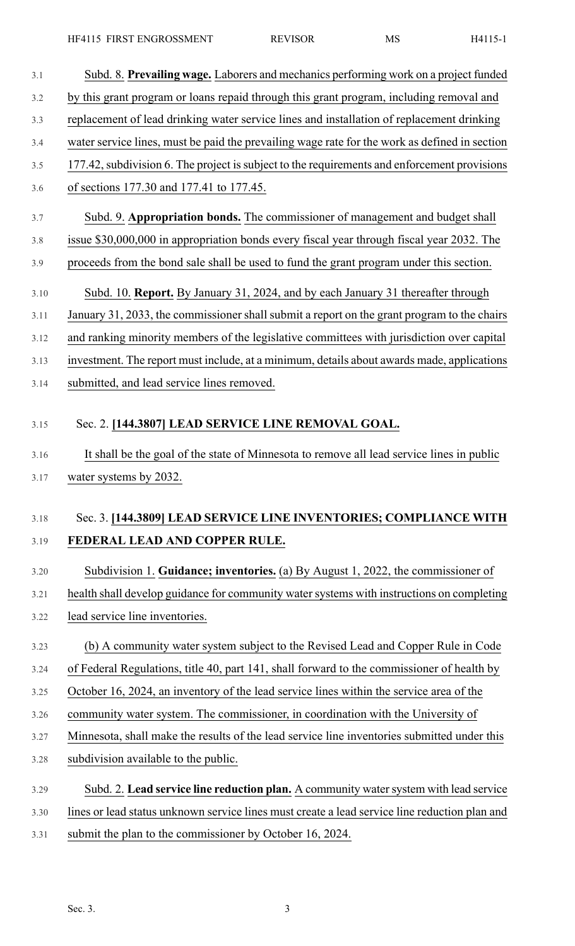HF4115 FIRST ENGROSSMENT REVISOR MS H4115-1

| 3.1                  | Subd. 8. Prevailing wage. Laborers and mechanics performing work on a project funded                                                                                      |
|----------------------|---------------------------------------------------------------------------------------------------------------------------------------------------------------------------|
| 3.2                  | by this grant program or loans repaid through this grant program, including removal and                                                                                   |
| 3.3                  | replacement of lead drinking water service lines and installation of replacement drinking                                                                                 |
| 3.4                  | water service lines, must be paid the prevailing wage rate for the work as defined in section                                                                             |
| 3.5                  | 177.42, subdivision 6. The project is subject to the requirements and enforcement provisions                                                                              |
| 3.6                  | of sections 177.30 and 177.41 to 177.45.                                                                                                                                  |
| 3.7                  | Subd. 9. Appropriation bonds. The commissioner of management and budget shall                                                                                             |
| 3.8                  | issue \$30,000,000 in appropriation bonds every fiscal year through fiscal year 2032. The                                                                                 |
| 3.9                  | proceeds from the bond sale shall be used to fund the grant program under this section.                                                                                   |
| 3.10                 | Subd. 10. Report. By January 31, 2024, and by each January 31 thereafter through                                                                                          |
| 3.11                 | January 31, 2033, the commissioner shall submit a report on the grant program to the chairs                                                                               |
| 3.12                 | and ranking minority members of the legislative committees with jurisdiction over capital                                                                                 |
| 3.13                 | investment. The report must include, at a minimum, details about awards made, applications                                                                                |
| 3.14                 | submitted, and lead service lines removed.                                                                                                                                |
| 3.15<br>3.16<br>3.17 | Sec. 2. [144.3807] LEAD SERVICE LINE REMOVAL GOAL.<br>It shall be the goal of the state of Minnesota to remove all lead service lines in public<br>water systems by 2032. |
| 3.18                 | Sec. 3. [144.3809] LEAD SERVICE LINE INVENTORIES; COMPLIANCE WITH                                                                                                         |
| 3.19                 | FEDERAL LEAD AND COPPER RULE.                                                                                                                                             |
| 3.20                 | Subdivision 1. Guidance; inventories. (a) By August 1, 2022, the commissioner of                                                                                          |
| 3.21                 | health shall develop guidance for community water systems with instructions on completing                                                                                 |
| 3.22                 | lead service line inventories.                                                                                                                                            |
| 3.23                 | (b) A community water system subject to the Revised Lead and Copper Rule in Code                                                                                          |
| 3.24                 | of Federal Regulations, title 40, part 141, shall forward to the commissioner of health by                                                                                |
| 3.25                 | October 16, 2024, an inventory of the lead service lines within the service area of the                                                                                   |
| 3.26                 | community water system. The commissioner, in coordination with the University of                                                                                          |
| 3.27                 | Minnesota, shall make the results of the lead service line inventories submitted under this                                                                               |
| 3.28                 | subdivision available to the public.                                                                                                                                      |
| 3.29                 | Subd. 2. Lead service line reduction plan. A community water system with lead service                                                                                     |
| 3.30                 | lines or lead status unknown service lines must create a lead service line reduction plan and                                                                             |
| 3.31                 | submit the plan to the commissioner by October 16, 2024.                                                                                                                  |
|                      |                                                                                                                                                                           |